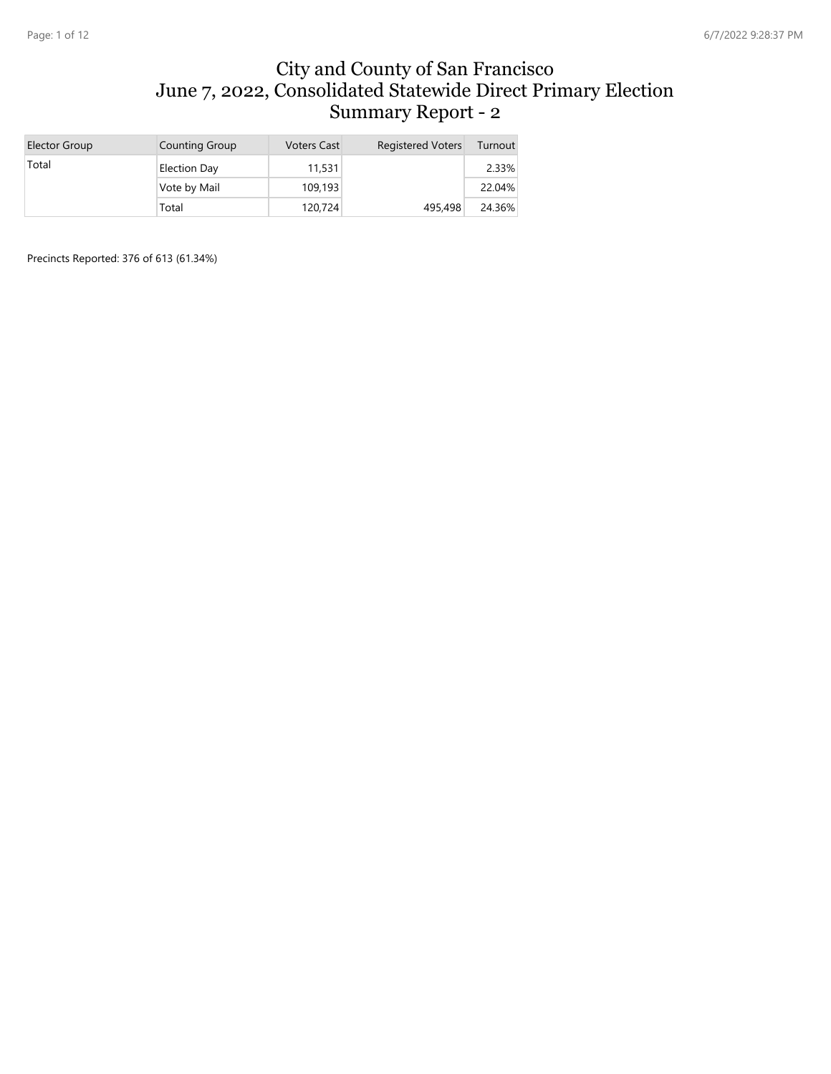#### City and County of San Francisco June 7, 2022, Consolidated Statewide Direct Primary Election Summary Report - 2

| Elector Group | <b>Counting Group</b> | <b>Voters Cast</b> | <b>Registered Voters</b> | Turnout  |
|---------------|-----------------------|--------------------|--------------------------|----------|
| Total         | Election Day          | 11,531             |                          | $2.33\%$ |
|               | Vote by Mail          | 109,193            |                          | 22.04%   |
|               | Total                 | 120,724            | 495,498                  | 24.36%   |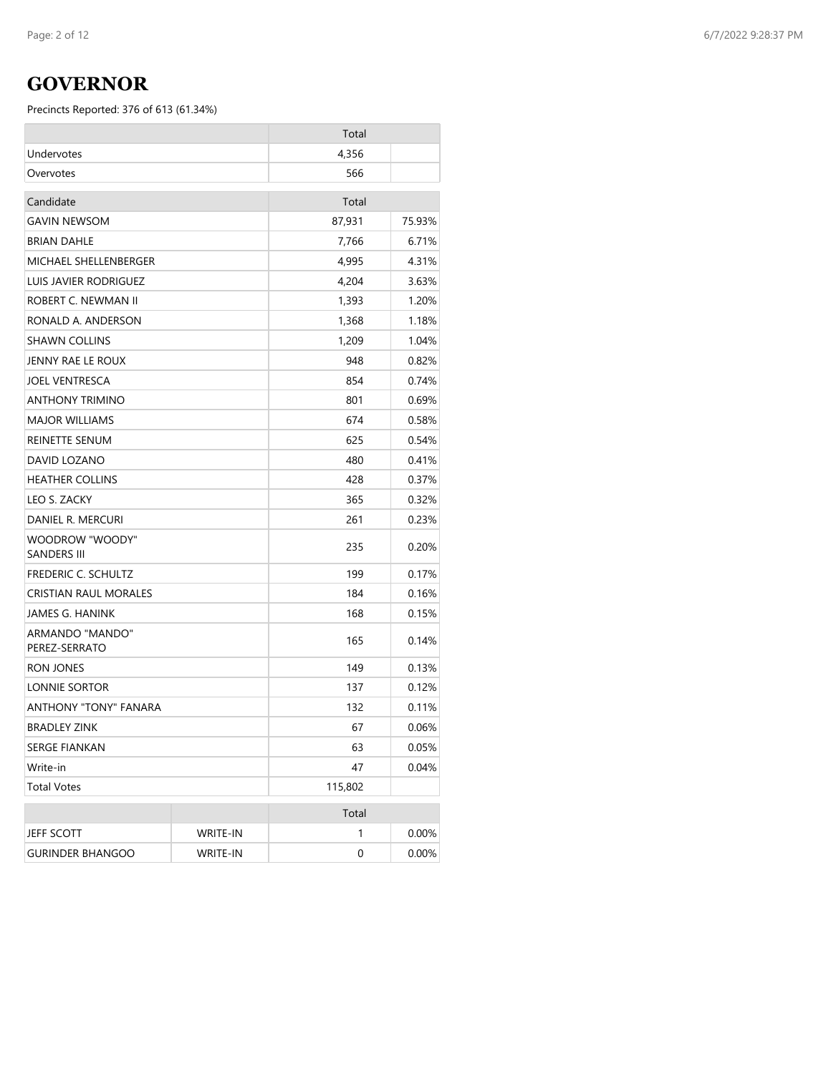## **GOVERNOR**

|                                  |                 | Total   |        |
|----------------------------------|-----------------|---------|--------|
| Undervotes                       |                 | 4,356   |        |
| Overvotes                        |                 | 566     |        |
| Candidate                        |                 | Total   |        |
| GAVIN NEWSOM                     |                 | 87,931  | 75.93% |
| <b>BRIAN DAHLE</b>               |                 | 7,766   | 6.71%  |
| MICHAEL SHELLENBERGER            |                 | 4,995   | 4.31%  |
| LUIS JAVIER RODRIGUEZ            |                 | 4,204   | 3.63%  |
| ROBERT C. NEWMAN II              |                 | 1,393   | 1.20%  |
| RONALD A. ANDERSON               |                 | 1,368   | 1.18%  |
| <b>SHAWN COLLINS</b>             |                 | 1,209   | 1.04%  |
| JENNY RAE LE ROUX                |                 | 948     | 0.82%  |
| <b>JOEL VENTRESCA</b>            |                 | 854     | 0.74%  |
| ANTHONY TRIMINO                  |                 | 801     | 0.69%  |
| MAJOR WILLIAMS                   |                 | 674     | 0.58%  |
| REINETTE SENUM                   |                 | 625     | 0.54%  |
| DAVID LOZANO                     |                 | 480     | 0.41%  |
| <b>HEATHER COLLINS</b>           |                 | 428     | 0.37%  |
| LEO S. ZACKY                     |                 | 365     | 0.32%  |
| DANIEL R. MERCURI                |                 | 261     | 0.23%  |
| WOODROW "WOODY"<br>SANDERS III   |                 | 235     | 0.20%  |
| <b>FREDERIC C. SCHULTZ</b>       |                 | 199     | 0.17%  |
| CRISTIAN RAUL MORALES            |                 | 184     | 0.16%  |
| JAMES G. HANINK                  |                 | 168     | 0.15%  |
| ARMANDO "MANDO"<br>PEREZ-SERRATO |                 | 165     | 0.14%  |
| <b>RON JONES</b>                 |                 | 149     | 0.13%  |
| LONNIE SORTOR                    |                 | 137     | 0.12%  |
| <b>ANTHONY "TONY" FANARA</b>     |                 | 132     | 0.11%  |
| <b>BRADLEY ZINK</b>              |                 | 67      | 0.06%  |
| <b>SERGE FIANKAN</b>             |                 | 63      | 0.05%  |
| Write-in                         |                 | 47      | 0.04%  |
| Total Votes                      |                 | 115,802 |        |
|                                  |                 | Total   |        |
| JEFF SCOTT                       | WRITE-IN        | 1       | 0.00%  |
| <b>GURINDER BHANGOO</b>          | <b>WRITE-IN</b> | 0       | 0.00%  |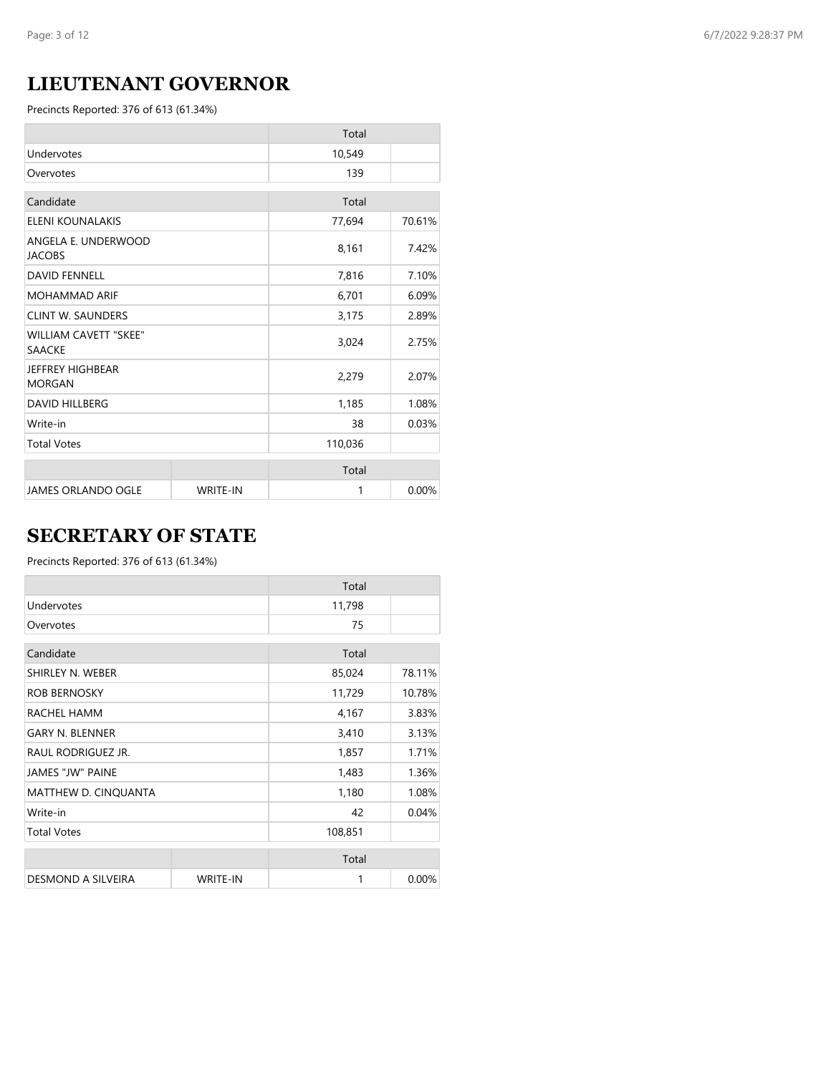# **LIEUTENANT GOVERNOR**

Precincts Reported: 376 of 613 (61.34%)

|                                               |                 | Total   |        |
|-----------------------------------------------|-----------------|---------|--------|
| Undervotes                                    |                 | 10,549  |        |
| Overvotes                                     |                 | 139     |        |
| Candidate                                     |                 | Total   |        |
| ELENI KOUNALAKIS                              |                 | 77,694  | 70.61% |
| ANGELA E. UNDERWOOD<br><b>JACOBS</b>          |                 | 8,161   | 7.42%  |
| <b>DAVID FENNELL</b>                          |                 | 7,816   | 7.10%  |
| <b>MOHAMMAD ARIF</b>                          |                 | 6,701   | 6.09%  |
| <b>CLINT W. SAUNDERS</b>                      |                 | 3,175   | 2.89%  |
| <b>WILLIAM CAVETT "SKEE"</b><br><b>SAACKE</b> |                 | 3,024   | 2.75%  |
| JEFFREY HIGHBEAR<br><b>MORGAN</b>             |                 | 2,279   | 2.07%  |
| <b>DAVID HILLBERG</b>                         |                 | 1,185   | 1.08%  |
| Write-in                                      |                 | 38      | 0.03%  |
| <b>Total Votes</b>                            |                 | 110,036 |        |
|                                               |                 | Total   |        |
| <b>JAMES ORLANDO OGLE</b>                     | <b>WRITE-IN</b> | 1       | 0.00%  |

# **SECRETARY OF STATE**

|                         |                 | Total   |        |
|-------------------------|-----------------|---------|--------|
| Undervotes              |                 | 11,798  |        |
| Overvotes               |                 | 75      |        |
| Candidate               |                 | Total   |        |
| SHIRLEY N. WEBER        |                 | 85,024  | 78.11% |
| <b>ROB BERNOSKY</b>     |                 | 11,729  | 10.78% |
| RACHEL HAMM             |                 | 4,167   | 3.83%  |
| <b>GARY N. BLENNER</b>  |                 | 3,410   | 3.13%  |
| RAUL RODRIGUEZ JR.      |                 | 1,857   | 1.71%  |
| <b>JAMES "JW" PAINE</b> |                 | 1,483   | 1.36%  |
| MATTHEW D. CINQUANTA    |                 | 1,180   | 1.08%  |
| Write-in                |                 | 42      | 0.04%  |
| <b>Total Votes</b>      |                 | 108,851 |        |
|                         |                 | Total   |        |
| DESMOND A SILVEIRA      | <b>WRITE-IN</b> | 1       | 0.00%  |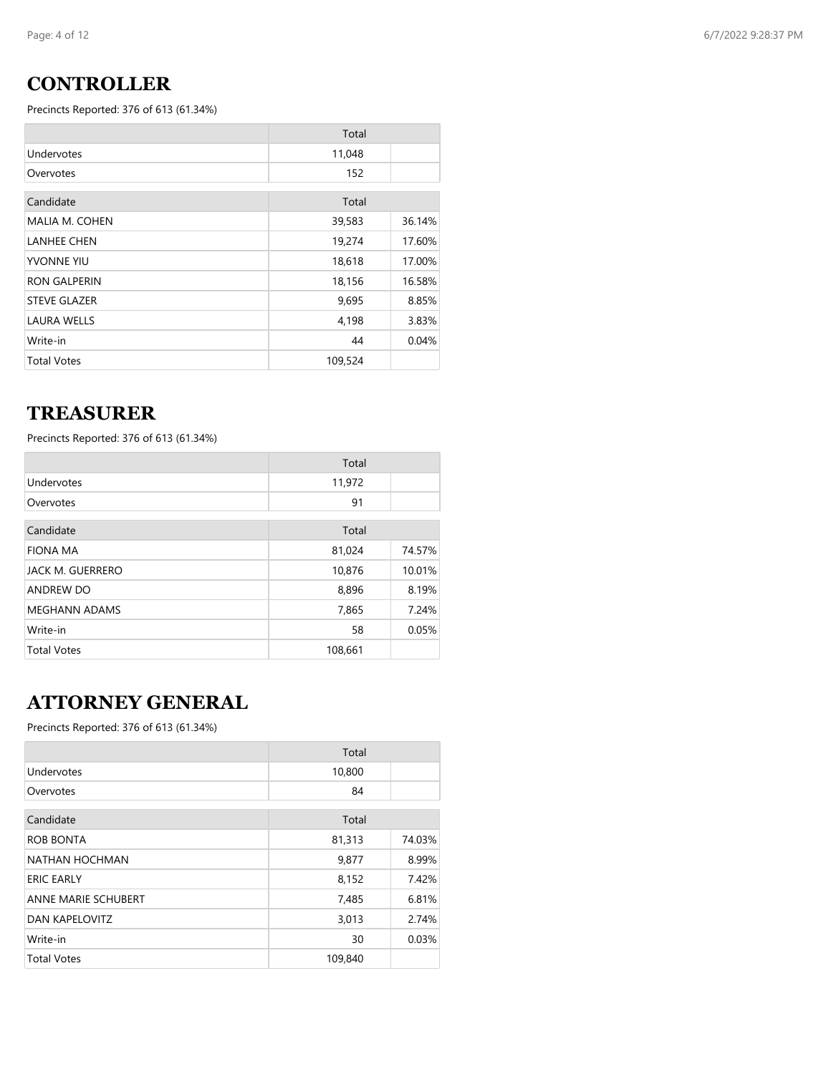# **CONTROLLER**

Precincts Reported: 376 of 613 (61.34%)

|                       | Total   |        |
|-----------------------|---------|--------|
| Undervotes            | 11,048  |        |
| Overvotes             | 152     |        |
| Candidate             | Total   |        |
| <b>MALIA M. COHEN</b> | 39,583  | 36.14% |
| <b>LANHEE CHEN</b>    | 19,274  | 17.60% |
| YVONNE YIU            | 18,618  | 17.00% |
| <b>RON GALPERIN</b>   | 18,156  | 16.58% |
| <b>STEVE GLAZER</b>   | 9,695   | 8.85%  |
| <b>LAURA WELLS</b>    | 4,198   | 3.83%  |
| Write-in              | 44      | 0.04%  |
| <b>Total Votes</b>    | 109,524 |        |

### **TREASURER**

Precincts Reported: 376 of 613 (61.34%)

|                      | Total   |        |
|----------------------|---------|--------|
| Undervotes           | 11,972  |        |
| Overvotes            | 91      |        |
| Candidate            | Total   |        |
| <b>FIONA MA</b>      | 81,024  | 74.57% |
| JACK M. GUERRERO     | 10,876  | 10.01% |
| ANDREW DO            | 8,896   | 8.19%  |
| <b>MEGHANN ADAMS</b> | 7,865   | 7.24%  |
| Write-in             | 58      | 0.05%  |
| <b>Total Votes</b>   | 108,661 |        |

# **ATTORNEY GENERAL**

|                            | Total   |        |
|----------------------------|---------|--------|
| Undervotes                 | 10,800  |        |
| Overvotes                  | 84      |        |
| Candidate                  | Total   |        |
| ROB BONTA                  | 81,313  | 74.03% |
| NATHAN HOCHMAN             | 9,877   | 8.99%  |
| <b>ERIC EARLY</b>          | 8,152   | 7.42%  |
| <b>ANNE MARIE SCHUBERT</b> | 7,485   | 6.81%  |
| DAN KAPELOVITZ             | 3,013   | 2.74%  |
| Write-in                   | 30      | 0.03%  |
| <b>Total Votes</b>         | 109,840 |        |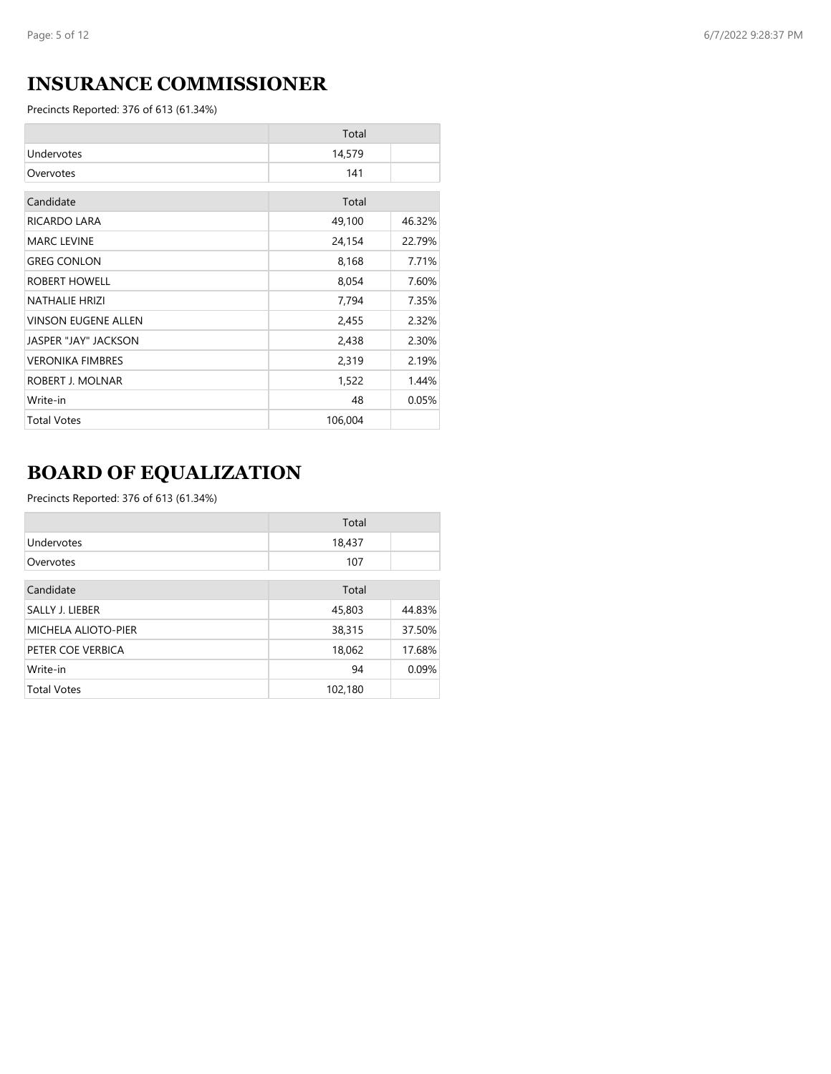# **INSURANCE COMMISSIONER**

Precincts Reported: 376 of 613 (61.34%)

|                            | Total   |        |
|----------------------------|---------|--------|
| Undervotes                 | 14,579  |        |
| Overvotes                  | 141     |        |
| Candidate                  | Total   |        |
| RICARDO LARA               | 49,100  | 46.32% |
| <b>MARC LEVINE</b>         | 24,154  | 22.79% |
| <b>GREG CONLON</b>         | 8,168   | 7.71%  |
| ROBERT HOWELL              | 8,054   | 7.60%  |
| <b>NATHALIE HRIZI</b>      | 7,794   | 7.35%  |
| <b>VINSON EUGENE ALLEN</b> | 2,455   | 2.32%  |
| JASPER "JAY" JACKSON       | 2,438   | 2.30%  |
| <b>VERONIKA FIMBRES</b>    | 2,319   | 2.19%  |
| ROBERT J. MOLNAR           | 1,522   | 1.44%  |
| Write-in                   | 48      | 0.05%  |
| <b>Total Votes</b>         | 106,004 |        |

# **BOARD OF EQUALIZATION**

|                            | Total   |        |
|----------------------------|---------|--------|
| Undervotes                 | 18,437  |        |
| Overvotes                  | 107     |        |
| Candidate                  | Total   |        |
| SALLY J. LIEBER            | 45,803  | 44.83% |
| <b>MICHELA ALIOTO-PIER</b> | 38,315  | 37.50% |
| PETER COE VERBICA          | 18,062  | 17.68% |
| Write-in                   | 94      | 0.09%  |
| <b>Total Votes</b>         | 102,180 |        |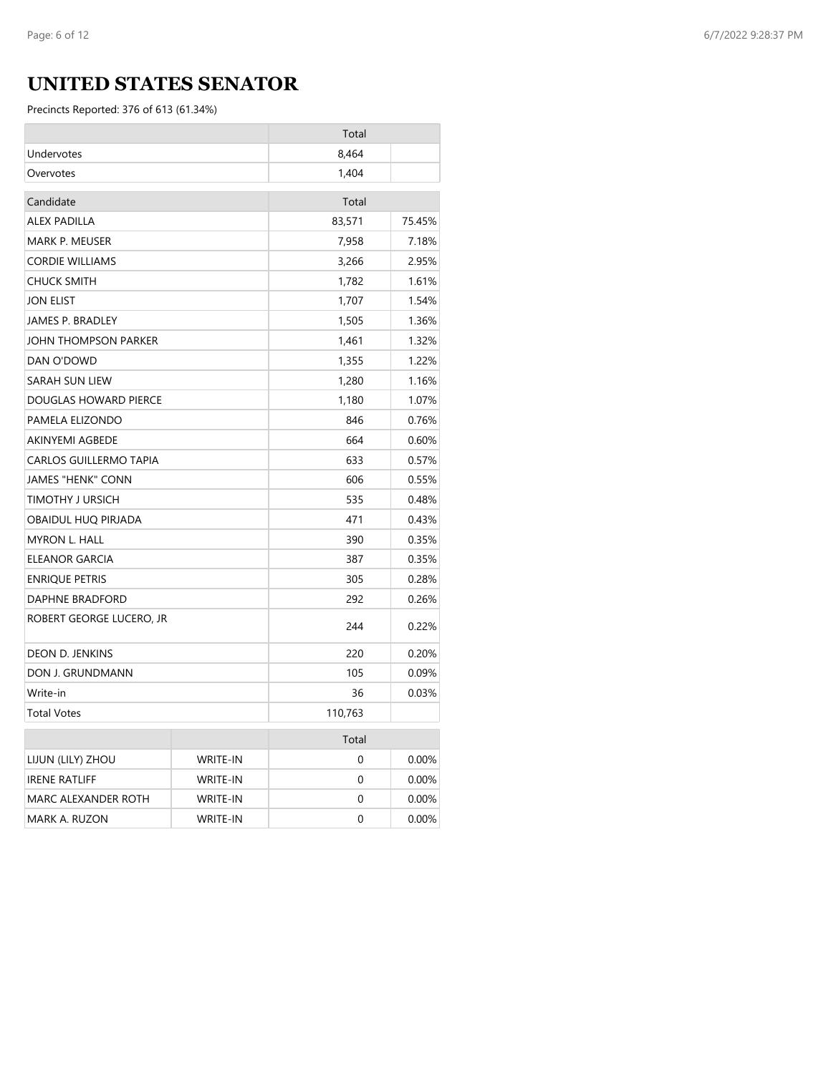# **UNITED STATES SENATOR**

|                          |                 | Total   |        |
|--------------------------|-----------------|---------|--------|
| Undervotes               |                 | 8,464   |        |
| Overvotes                |                 | 1,404   |        |
| Candidate                |                 | Total   |        |
| <b>ALEX PADILLA</b>      |                 | 83,571  | 75.45% |
| <b>MARK P. MEUSER</b>    |                 | 7,958   | 7.18%  |
| <b>CORDIE WILLIAMS</b>   |                 | 3,266   | 2.95%  |
| <b>CHUCK SMITH</b>       |                 | 1,782   | 1.61%  |
| <b>JON ELIST</b>         |                 | 1,707   | 1.54%  |
| <b>JAMES P. BRADLEY</b>  |                 | 1,505   | 1.36%  |
| JOHN THOMPSON PARKER     |                 | 1,461   | 1.32%  |
| DAN O'DOWD               |                 | 1,355   | 1.22%  |
| SARAH SUN LIEW           |                 | 1,280   | 1.16%  |
| DOUGLAS HOWARD PIERCE    |                 | 1,180   | 1.07%  |
| PAMELA ELIZONDO          |                 | 846     | 0.76%  |
| <b>AKINYEMI AGBEDE</b>   |                 | 664     | 0.60%  |
| CARLOS GUILLERMO TAPIA   |                 | 633     | 0.57%  |
| <b>JAMES "HENK" CONN</b> |                 | 606     | 0.55%  |
| TIMOTHY J URSICH         |                 | 535     | 0.48%  |
| OBAIDUL HUQ PIRJADA      |                 | 471     | 0.43%  |
| <b>MYRON L. HALL</b>     |                 | 390     | 0.35%  |
| ELEANOR GARCIA           |                 | 387     | 0.35%  |
| <b>ENRIQUE PETRIS</b>    |                 | 305     | 0.28%  |
| DAPHNE BRADFORD          |                 | 292     | 0.26%  |
| ROBERT GEORGE LUCERO, JR |                 | 244     | 0.22%  |
| <b>DEON D. JENKINS</b>   |                 | 220     | 0.20%  |
| DON J. GRUNDMANN         |                 | 105     | 0.09%  |
| Write-in                 |                 | 36      | 0.03%  |
| <b>Total Votes</b>       |                 | 110,763 |        |
|                          |                 | Total   |        |
| LIJUN (LILY) ZHOU        | <b>WRITE-IN</b> | 0       | 0.00%  |
| <b>IRENE RATLIFF</b>     | WRITE-IN        | 0       | 0.00%  |
| MARC ALEXANDER ROTH      | WRITE-IN        | 0       | 0.00%  |
| MARK A. RUZON            | WRITE-IN        | 0       | 0.00%  |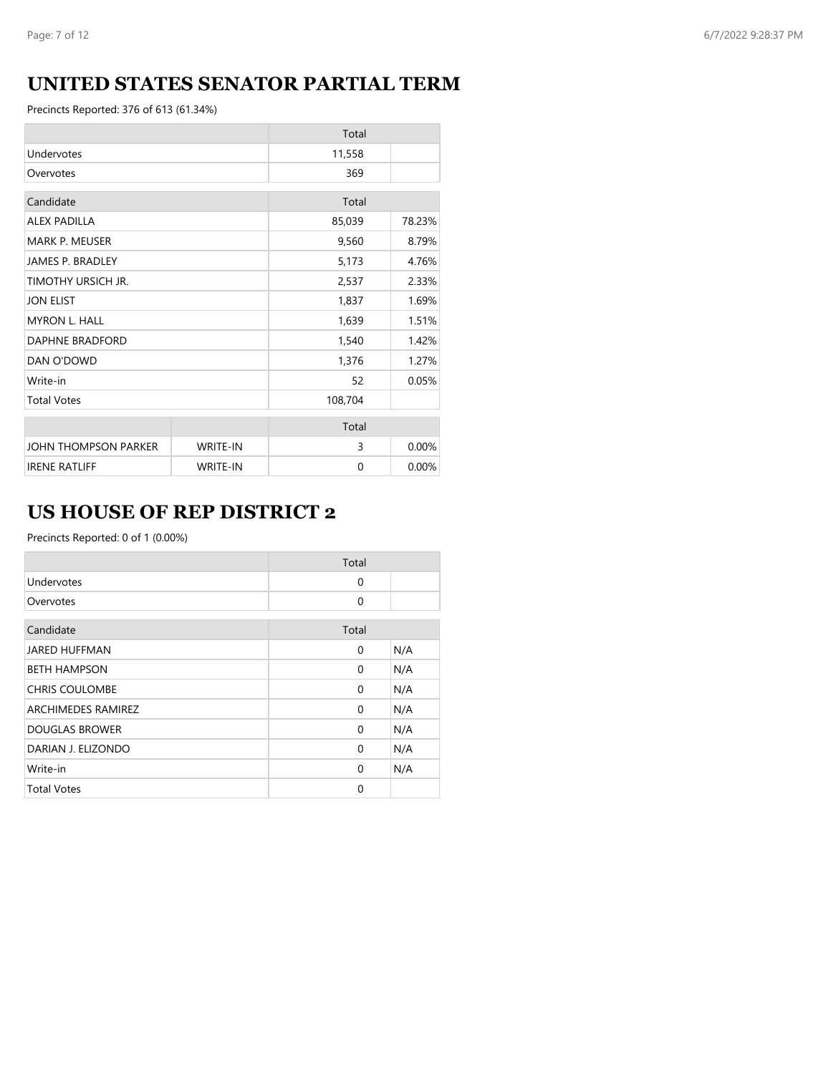# **UNITED STATES SENATOR PARTIAL TERM**

Precincts Reported: 376 of 613 (61.34%)

|                         |                 | Total    |        |
|-------------------------|-----------------|----------|--------|
| Undervotes              |                 | 11,558   |        |
| Overvotes               |                 | 369      |        |
| Candidate               |                 | Total    |        |
| <b>ALEX PADILLA</b>     |                 | 85,039   | 78.23% |
| <b>MARK P. MEUSER</b>   |                 | 9,560    | 8.79%  |
| <b>JAMES P. BRADLEY</b> |                 | 5,173    | 4.76%  |
| TIMOTHY URSICH JR.      |                 | 2,537    | 2.33%  |
| <b>JON ELIST</b>        |                 | 1,837    | 1.69%  |
| <b>MYRON L. HALL</b>    |                 | 1,639    | 1.51%  |
| DAPHNE BRADFORD         |                 | 1,540    | 1.42%  |
| DAN O'DOWD              |                 | 1,376    | 1.27%  |
| Write-in                |                 | 52       | 0.05%  |
| <b>Total Votes</b>      |                 | 108,704  |        |
|                         |                 | Total    |        |
| JOHN THOMPSON PARKER    | <b>WRITE-IN</b> | 3        | 0.00%  |
| <b>IRENE RATLIFF</b>    | <b>WRITE-IN</b> | $\Omega$ | 0.00%  |

# **US HOUSE OF REP DISTRICT 2**

Precincts Reported: 0 of 1 (0.00%)

|                       | Total    |     |
|-----------------------|----------|-----|
| Undervotes            | $\Omega$ |     |
| Overvotes             | $\Omega$ |     |
| Candidate             | Total    |     |
| <b>JARED HUFFMAN</b>  | 0        | N/A |
| <b>BETH HAMPSON</b>   | 0        | N/A |
| <b>CHRIS COULOMBE</b> | $\Omega$ | N/A |
| ARCHIMEDES RAMIREZ    | $\Omega$ | N/A |
| <b>DOUGLAS BROWER</b> | $\Omega$ | N/A |
| DARIAN J. ELIZONDO    | 0        | N/A |
| Write-in              | $\Omega$ | N/A |
| <b>Total Votes</b>    | $\Omega$ |     |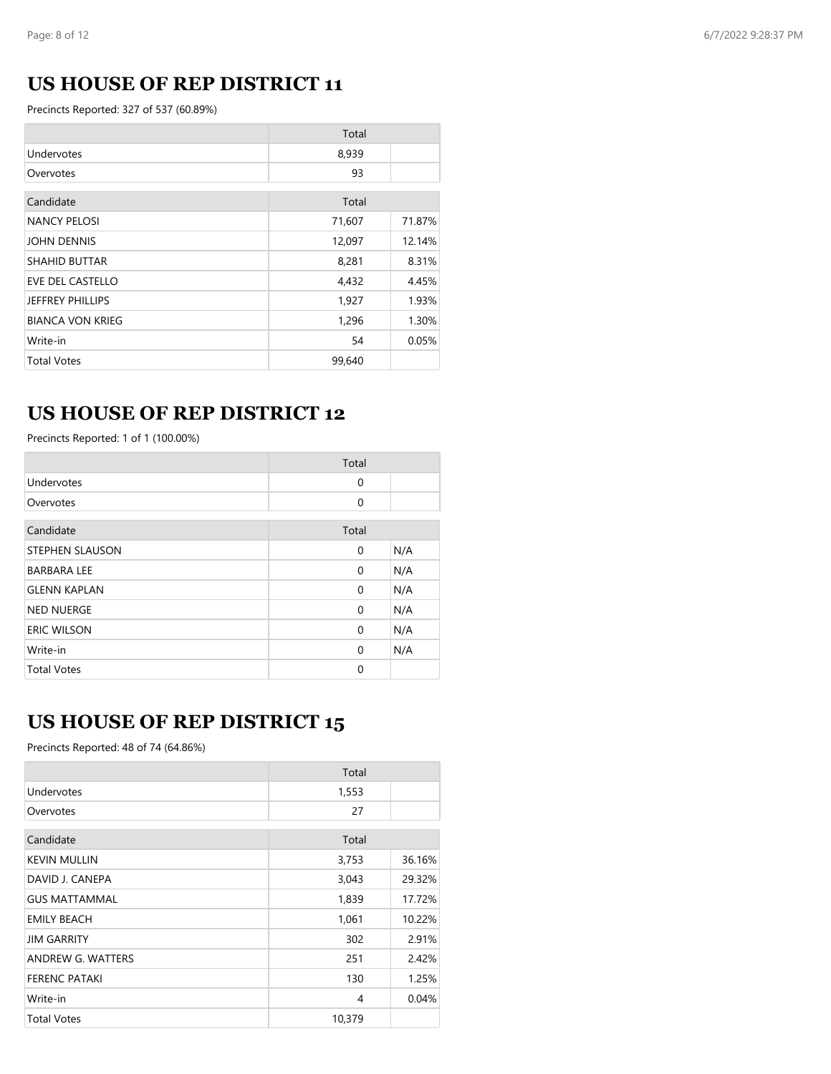# **US HOUSE OF REP DISTRICT 11**

Precincts Reported: 327 of 537 (60.89%)

|                         | Total  |        |
|-------------------------|--------|--------|
| Undervotes              | 8,939  |        |
| Overvotes               | 93     |        |
| Candidate               | Total  |        |
| <b>NANCY PELOSI</b>     | 71,607 | 71.87% |
| <b>JOHN DENNIS</b>      | 12,097 | 12.14% |
| <b>SHAHID BUTTAR</b>    | 8,281  | 8.31%  |
| <b>EVE DEL CASTELLO</b> | 4,432  | 4.45%  |
| <b>JEFFREY PHILLIPS</b> | 1,927  | 1.93%  |
| <b>BIANCA VON KRIEG</b> | 1,296  | 1.30%  |
| Write-in                | 54     | 0.05%  |
| <b>Total Votes</b>      | 99,640 |        |

## **US HOUSE OF REP DISTRICT 12**

Precincts Reported: 1 of 1 (100.00%)

|                        | Total    |     |
|------------------------|----------|-----|
| Undervotes             | 0        |     |
| Overvotes              | 0        |     |
| Candidate              | Total    |     |
| <b>STEPHEN SLAUSON</b> | 0        | N/A |
| <b>BARBARA LEE</b>     | 0        | N/A |
| <b>GLENN KAPLAN</b>    | 0        | N/A |
| <b>NED NUERGE</b>      | 0        | N/A |
| <b>ERIC WILSON</b>     | 0        | N/A |
| Write-in               | $\Omega$ | N/A |
| <b>Total Votes</b>     | 0        |     |

# **US HOUSE OF REP DISTRICT 15**

Precincts Reported: 48 of 74 (64.86%)

|                      | Total  |        |
|----------------------|--------|--------|
| Undervotes           | 1,553  |        |
| Overvotes            | 27     |        |
| Candidate            | Total  |        |
| <b>KEVIN MULLIN</b>  | 3,753  | 36.16% |
| DAVID J. CANEPA      | 3,043  | 29.32% |
| <b>GUS MATTAMMAL</b> | 1,839  | 17.72% |
| <b>EMILY BEACH</b>   | 1,061  | 10.22% |
| <b>JIM GARRITY</b>   | 302    | 2.91%  |
| ANDREW G. WATTERS    | 251    | 2.42%  |
| <b>FERENC PATAKI</b> | 130    | 1.25%  |
| Write-in             | 4      | 0.04%  |
| <b>Total Votes</b>   | 10,379 |        |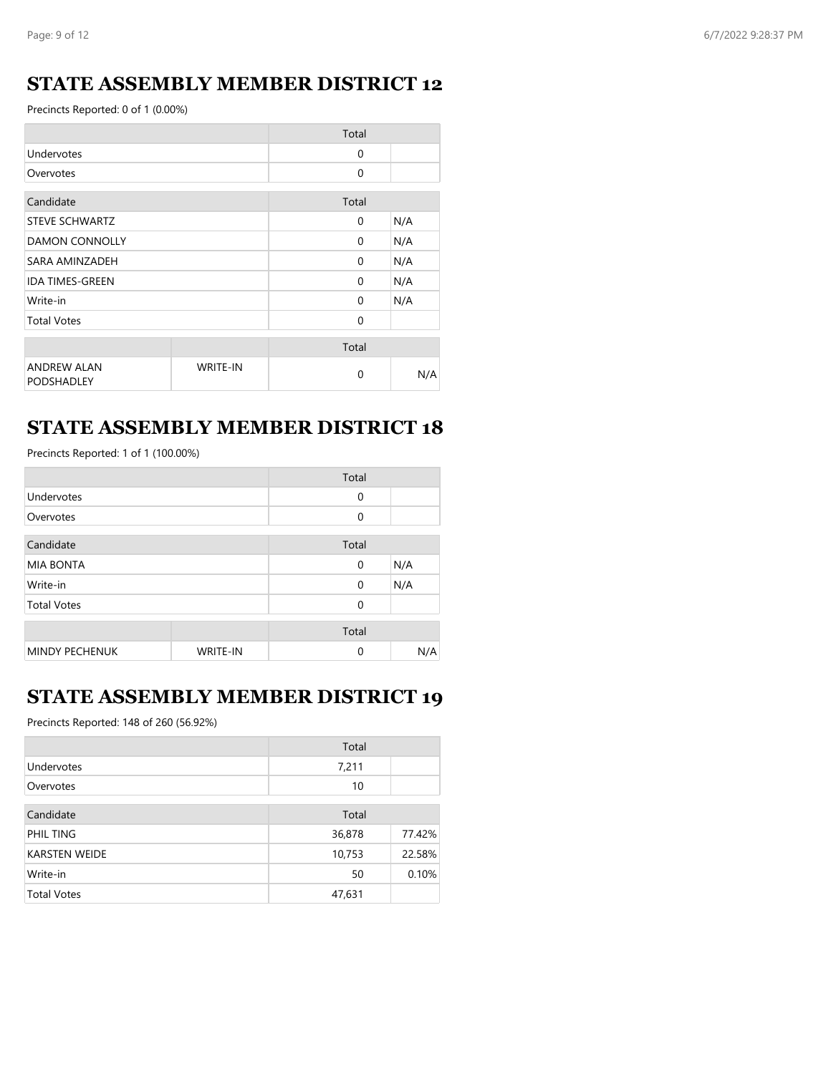## **STATE ASSEMBLY MEMBER DISTRICT 12**

Precincts Reported: 0 of 1 (0.00%)

|                                         |                 | Total        |     |
|-----------------------------------------|-----------------|--------------|-----|
| Undervotes                              |                 | $\Omega$     |     |
| Overvotes                               |                 | $\mathbf{0}$ |     |
| Candidate                               |                 | Total        |     |
| STEVE SCHWARTZ                          |                 | $\Omega$     | N/A |
| <b>DAMON CONNOLLY</b>                   |                 | $\Omega$     | N/A |
| SARA AMINZADEH                          |                 | $\Omega$     | N/A |
| <b>IDA TIMES-GREEN</b>                  |                 | $\Omega$     | N/A |
| Write-in                                |                 | $\Omega$     | N/A |
| <b>Total Votes</b>                      |                 | $\mathbf{0}$ |     |
|                                         |                 | Total        |     |
| <b>ANDREW ALAN</b><br><b>PODSHADLEY</b> | <b>WRITE-IN</b> | $\Omega$     | N/A |

## **STATE ASSEMBLY MEMBER DISTRICT 18**

Precincts Reported: 1 of 1 (100.00%)

|                       |                 | Total       |     |
|-----------------------|-----------------|-------------|-----|
| Undervotes            |                 | $\mathbf 0$ |     |
| Overvotes             |                 | $\Omega$    |     |
| Candidate             |                 | Total       |     |
| <b>MIA BONTA</b>      |                 | $\mathbf 0$ | N/A |
| Write-in              |                 | $\mathbf 0$ | N/A |
| <b>Total Votes</b>    |                 | $\Omega$    |     |
|                       |                 | Total       |     |
| <b>MINDY PECHENUK</b> | <b>WRITE-IN</b> | $\Omega$    | N/A |

## **STATE ASSEMBLY MEMBER DISTRICT 19**

Precincts Reported: 148 of 260 (56.92%)

|                      | Total  |        |
|----------------------|--------|--------|
| Undervotes           | 7,211  |        |
| Overvotes            | 10     |        |
| Candidate            | Total  |        |
| PHIL TING            | 36,878 | 77.42% |
| <b>KARSTEN WEIDE</b> | 10,753 | 22.58% |
| Write-in             | 50     | 0.10%  |
| <b>Total Votes</b>   | 47,631 |        |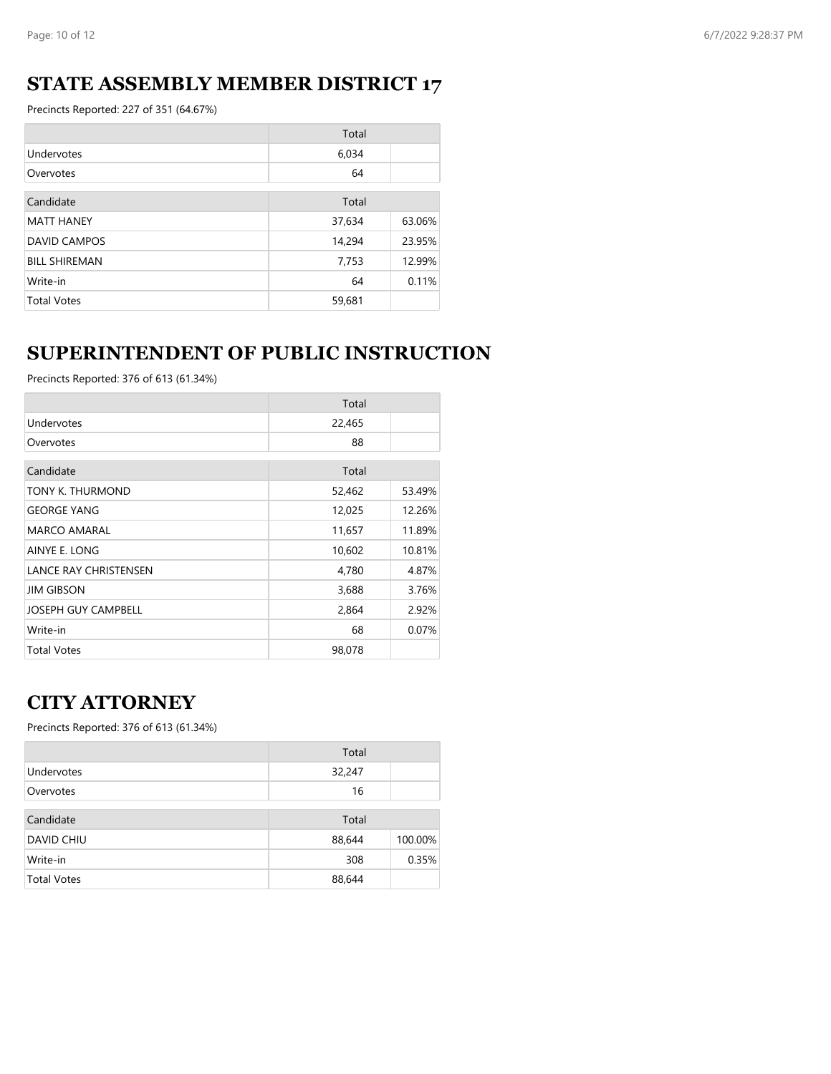## **STATE ASSEMBLY MEMBER DISTRICT 17**

Precincts Reported: 227 of 351 (64.67%)

|                      | Total  |        |
|----------------------|--------|--------|
| Undervotes           | 6,034  |        |
| Overvotes            | 64     |        |
|                      |        |        |
| Candidate            | Total  |        |
| <b>MATT HANEY</b>    | 37,634 | 63.06% |
| <b>DAVID CAMPOS</b>  | 14,294 | 23.95% |
| <b>BILL SHIREMAN</b> | 7,753  | 12.99% |
| Write-in             | 64     | 0.11%  |
| <b>Total Votes</b>   | 59,681 |        |

# **SUPERINTENDENT OF PUBLIC INSTRUCTION**

Precincts Reported: 376 of 613 (61.34%)

|                              | Total  |        |
|------------------------------|--------|--------|
| Undervotes                   | 22,465 |        |
| Overvotes                    | 88     |        |
| Candidate                    | Total  |        |
| TONY K. THURMOND             | 52,462 | 53.49% |
| <b>GEORGE YANG</b>           | 12,025 | 12.26% |
| MARCO AMARAL                 | 11,657 | 11.89% |
| AINYE E. LONG                | 10,602 | 10.81% |
| <b>LANCE RAY CHRISTENSEN</b> | 4,780  | 4.87%  |
| <b>JIM GIBSON</b>            | 3,688  | 3.76%  |
| <b>JOSEPH GUY CAMPBELL</b>   | 2,864  | 2.92%  |
| Write-in                     | 68     | 0.07%  |
| <b>Total Votes</b>           | 98,078 |        |

## **CITY ATTORNEY**

|                    | Total  |         |
|--------------------|--------|---------|
| Undervotes         | 32,247 |         |
| Overvotes          | 16     |         |
| Candidate          | Total  |         |
| DAVID CHIU         | 88,644 | 100.00% |
| Write-in           | 308    | 0.35%   |
| <b>Total Votes</b> | 88,644 |         |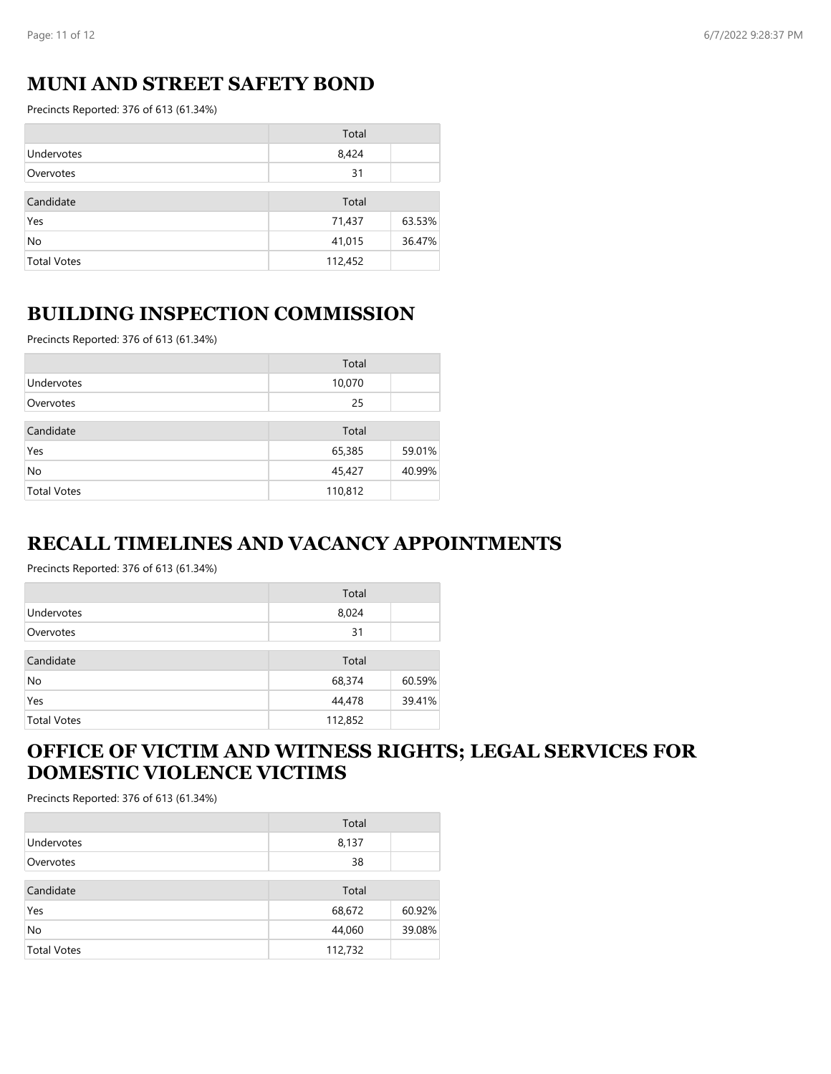## **MUNI AND STREET SAFETY BOND**

Precincts Reported: 376 of 613 (61.34%)

|                    | Total   |        |
|--------------------|---------|--------|
| Undervotes         | 8,424   |        |
| Overvotes          | 31      |        |
| Candidate          | Total   |        |
| Yes                | 71,437  | 63.53% |
| No                 | 41,015  | 36.47% |
| <b>Total Votes</b> | 112,452 |        |

#### **BUILDING INSPECTION COMMISSION**

Precincts Reported: 376 of 613 (61.34%)

|                    | Total   |        |
|--------------------|---------|--------|
| Undervotes         | 10,070  |        |
| Overvotes          | 25      |        |
| Candidate          | Total   |        |
| Yes                | 65,385  | 59.01% |
| No                 | 45,427  | 40.99% |
| <b>Total Votes</b> | 110,812 |        |

#### **RECALL TIMELINES AND VACANCY APPOINTMENTS**

Precincts Reported: 376 of 613 (61.34%)

|                    | Total   |        |
|--------------------|---------|--------|
| Undervotes         | 8,024   |        |
| Overvotes          | 31      |        |
| Candidate          | Total   |        |
| No                 | 68,374  | 60.59% |
| Yes                | 44,478  | 39.41% |
| <b>Total Votes</b> | 112,852 |        |

#### **OFFICE OF VICTIM AND WITNESS RIGHTS; LEGAL SERVICES FOR DOMESTIC VIOLENCE VICTIMS**

|                    | Total   |        |
|--------------------|---------|--------|
| Undervotes         | 8,137   |        |
| Overvotes          | 38      |        |
| Candidate          | Total   |        |
| Yes                | 68,672  | 60.92% |
| No                 | 44,060  | 39.08% |
| <b>Total Votes</b> | 112,732 |        |